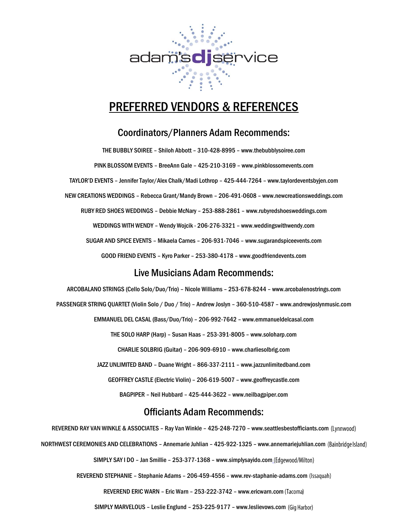

# PREFERRED VENDORS & REFERENCES

## Coordinators/Planners Adam Recommends:

THE BUBBLY SOIREE – Shiloh Abbott – 310-428-8995 – [www.thebubblysoiree.com](http://www.thebubblysoiree.com/) PINK BLOSSOM EVENTS – BreeAnn Gale – 425-210-3169 – [www.pinkblossomevents.com](http://www.pinkblossomevents.com/) TAYLOR'D EVENTS – Jennifer Taylor/Alex Chalk/Madi Lothrop – 425-444-7264 – [www.taylordeventsbyjen.com](http://www.taylordeventsbyjen.com/) NEW CREATIONS WEDDINGS – Rebecca Grant/Mandy Brown – 206-491-0608 – [www.newcreationsweddings.com](http://www.newcreationsweddings.com/) RUBY RED SHOES WEDDINGS – Debbie McNary – 253-888-2861 – [www.rubyredshoesweddings.com](http://www.rubyredshoesweddings.com/) WEDDINGS WITH WENDY – Wendy Wojcik - 206-276-3321 – [www.weddingswithwendy.com](http://www.weddingswithwendy.com/)  SUGAR AND SPICE EVENTS – Mikaela Carnes – 206-931-7046 – [www.sugarandspiceevents.com](http://www.sugarandspiceevents.com/) GOOD FRIEND EVENTS – Kyro Parker – 253-380-4178 – [www.goodfriendevents.com](http://www.goodfriendevents.com/)

### Live Musicians Adam Recommends:

ARCOBALANO STRINGS (Cello Solo/Duo/Trio) – Nicole Williams – 253-678-8244 – [www.arcobalenostrings.com](http://www.arcobalenostrings.com/) PASSENGER STRING QUARTET (Violin Solo / Duo / Trio) – Andrew Joslyn – 360-510-4587 – [www.andrewjoslynmusic.com](http://www.andrewjoslynmusic.com/) EMMANUEL DEL CASAL (Bass/Duo/Trio) – 206-992-7642 – [www.emmanueldelcasal.com](http://www.emmanueldelcasal.com/) THE SOLO HARP (Harp) – Susan Haas – 253-391-8005 – [www.soloharp.com](http://www.soloharp.com/) CHARLIE SOLBRIG (Guitar) – 206-909-6910 – [www.charliesolbrig.com](http://www.charliesolbrig.com/) JAZZ UNLIMITED BAND – Duane Wright – 866-337-2111 – [www.jazzunlimitedband.com](http://www.jazzunlimitedband.com/) GEOFFREY CASTLE (Electric Violin) – 206-619-5007 – [www.geoffreycastle.com](http://www.geoffreycastle.com/) BAGPIPER – Neil Hubbard – 425-444-3622 – www.neilbagpiper.com

# Officiants Adam Recommends:

REVEREND RAY VAN WINKLE & ASSOCIATES - Ray Van Winkle - 425-248-7270 - [www.seattlesbestofficiants.com](http://www.seattlesbestofficiants.com/) (Lynnwood)

NORTHWEST CEREMONIES AND CELEBRATIONS – Annemarie Juhlian – 425-922-1325 – [www.annemariejuhlian.com](http://www.annemariejuhlian.com/)

SIMPLY SAY I DO – Jan Smillie – 253-377-1368 – www.simplysayido.com

REVEREND STEPHANIE – Stephanie Adams – 206-459-4556 – www.rev-staphanie-adams.com

REVEREND ERIC WARN - Eric Warn - 253-222-3742 - [www.ericwarn.com](http://www.ericwarn.com/) (Tacoma)

SIMPLY MARVELOUS – Leslie Englund – 253-225-9177 – [www.leslievows.com](http://www.leslievows.com/)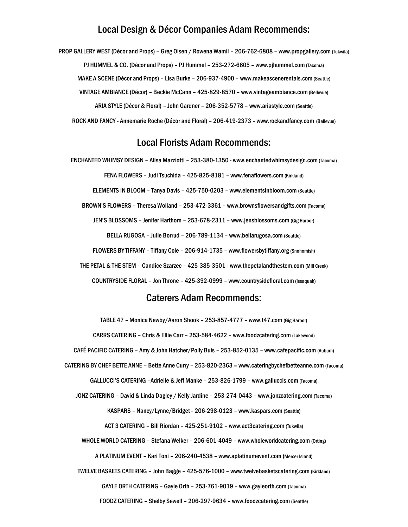### Local Design & Décor Companies Adam Recommends:

PROP GALLERY WEST (Décor and Props) – Greg Olsen / Rowena Wamil – 206-762-6808 – [www.propgallery.com](http://www.propgallery.com/) (Tukwila) PJ HUMMEL & CO. (Décor and Props) – PJ Hummel – 253-272-6605 – [www.pjhummel.com](http://www.pjhummel.com/) (Tacoma) MAKE A SCENE (Décor and Props) – Lisa Burke – 206-937-4900 – [www.makeascenerentals.com](http://www.makeascenerentals.com/)(Seattle) VINTAGE AMBIANCE (Décor) – Beckie McCann – 425-829-8570 – [www.vintageambiance.com](http://www.vintageambiance.com/)(Bellevue) ARIA STYLE (Décor & Floral) – John Gardner – 206-352-5778 – [www.ariastyle.com](http://www.ariastyle.com/) (Seattle) ROCK AND FANCY - Annemarie Roche (Décor and Floral) – 206-419-2373 – [www.rockandfancy.com](http://www.rockandfancy.com/) (Bellevue)

#### Local Florists Adam Recommends:

ENCHANTED WHIMSY DESIGN – Alisa Mazziotti – 253-380-1350 - [www.enchantedwhimsydesign.com](http://www.enchantedwhimsydesign.com/)(Tacoma) FENA FLOWERS - Judi Tsuchida - 425-825-8181 - [www.fenaflowers.com](http://www.fenaflowers.com/) (Kirkland) ELEMENTS IN BLOOM – Tanya Davis – 425-750-0203 – [www.elementsinbloom.com](http://www.elementsinbloom.com/) (Seattle) BROWN'S FLOWERS - Theresa Wolland - 253-472-3361 - [www.brownsflowersandgifts.com](http://www.brownsflowersandgifts.com/) (Tacoma) JEN'S BLOSSOMS – Jenifer Harthorn – 253-678-2311 – [www.jensblossoms.com](http://www.jensblossoms.com/) (Gig Harbor) BELLA RUGOSA – Julie Borrud – 206-789-1134 – [www.bellarugosa.com](http://www.bellarugosa.com/) (Seattle) FLOWERS BY TIFFANY – Tiffany Cole – 206-914-1735 – [www.flowersbytiffany.org](http://www.flowersbytiffany.org/) (Snohomish) THE PETAL & THE STEM – Candice Szarzec – 425-385-3501 - [www.thepetalandthestem.com](http://www.thepetalandthestem.com/) (Mill Creek) COUNTRYSIDE FLORAL - Jon Throne - 425-392-0999 - [www.countrysidefloral.com](http://www.countrysidefloral.com/) (Issaquah)

## Caterers Adam Recommends:

TABLE 47 – Monica Newby/Aaron Shook – 253-857-4777 – www.t47.com (Gig Harbor) CARRS CATERING – Chris & Ellie Carr – 253-584-4622 – [www.foodzcatering.com](http://www.foodzcatering.com/) (Lakewood) CAFÉ PACIFIC CATERING – Amy & John Hatcher/Polly Buis – 253-852-0135 – [www.cafepacific.com](http://www.cafepacific.com/) (Auburn) CATERING BY CHEF BETTE ANNE – Bette Anne Curry – 253-820-2363 – [www.cateringbychefbetteanne.com](http://www.cateringbychefbetteanne.com/) (Tacoma) GALLUCCI'S CATERING –Adrielle & Jeff Manke – 253-826-1799 – [www.galluccis.com](http://www.galluccis.com/) (Tacoma) JONZ CATERING – David & Linda Dagley / Kelly Jardine – 253-274-0443 – [www.jonzcatering.com](http://www.jonzcatering.com/) (Tacoma) KASPARS – Nancy/Lynne/Bridget– 206-298-0123 – [www.kaspars.com](http://www.kaspars.com/) (Seattle) ACT 3 CATERING – Bill Riordan – 425-251-9102 – [www.act3catering.com](http://www.act3catering.com/) (Tukwila) WHOLE WORLD CATERING – Stefana Welker – 206-601-4049 – [www.wholeworldcatering.com](http://www.wholeworldcatering.com/) (Orting) A PLATINUM EVENT – Kari Toni – 206-240-4538 – [www.aplatinumevent.com](http://www.aplatinumevent.com/) (Mercer Island) TWELVE BASKETS CATERING – John Bagge – 425-576-1000 – www.twelvebasketscatering.com (Kirkland) GAYLE ORTH CATERING – Gayle Orth – 253-761-9019 – www.gayleorth.com (Tacoma)

FOODZ CATERING – Shelby Sewell – 206-297-9634 – [www.foodzcatering.com](http://www.foodzcatering.com/) (Seattle)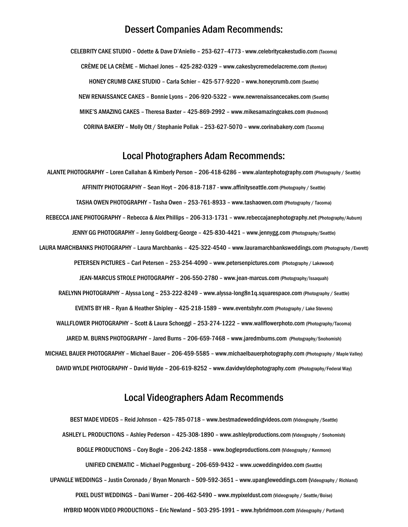#### Dessert Companies Adam Recommends:

CELEBRITY CAKE STUDIO – Odette & Dave D'Aniello – 253-627–4773 - [www.celebritycakestudio.com](http://www.celebritycakestudio.com/) (Tacoma) CRÈME DE LA CRÈME – Michael Jones – 425-282-0329 – [www.cakesbycremedelacreme.com](http://www.cakesbycremedelacreme.com/) (Renton) HONEY CRUMB CAKE STUDIO – Carla Schier – 425-577-9220 – [www.honeycrumb.com](http://www.honeycrumb.com/) (Seattle) NEW RENAISSANCE CAKES – Bonnie Lyons – 206-920-5322 – [www.newrenaissancecakes.com](http://www.newrenaissancecakes.com/) (Seattle) MIKE'S AMAZING CAKES – Theresa Baxter – 425-869-2992 – [www.mikesamazingcakes.com](http://www.mikesamazingcakes.com/) (Redmond) CORINA BAKERY – Molly Ott / Stephanie Pollak – 253-627-5070 – [www.corinabakery.com](http://www.corinabakery.com/) (Tacoma)

## Local Photographers Adam Recommends:

ALANTE PHOTOGRAPHY – Loren Callahan & Kimberly Person – 206-418-6286 – [www.alantephotography.com](http://www.alantephotography.com/) (Photography / Seattle) AFFINITY PHOTOGRAPHY – Sean Hoyt – 206-818-7187 - www.affinityseattle.com(Photography / Seattle) TASHA OWEN PHOTOGRAPHY – Tasha Owen – 253-761-8933 – [www.tashaowen.com](http://www.tashaowen.com/) (Photography / Tacoma) REBECCA JANE PHOTOGRAPHY – Rebecca & Alex Phillips – 206-313-1731 – [www.rebeccajanephotography.net](http://www.rebeccajanephotography.net/) (Photography/Auburn) JENNY GG PHOTOGRAPHY – Jenny Goldberg-George – 425-830-4421 – [www.jennygg.com](http://www.jennygg.com/) (Photography/Seattle) LAURA MARCHBANKS PHOTOGRAPHY – Laura Marchbanks – 425-322-4540 – www.lauramarchbanksweddings.com (Photography /Everett) PETERSEN PICTURES – Carl Petersen – 253-254-4090 – [www.petersenpictures.com](http://www.petersenpictures.com/) (Photography / Lakewood) JEAN-MARCUS STROLE PHOTOGRAPHY – 206-550-2780 – [www.jean-marcus.com](http://www.jean-marcus.com/) (Photography/Issaquah) RAELYNN PHOTOGRAPHY – Alyssa Long – 253-222-8249 – [www.alyssa-long8n1q.squarespace.com](http://www.alyssa-long8n1q.squarespace.com/) (Photography / Seattle) EVENTS BY HR – Ryan & Heather Shipley – 425-218-1589 – [www.eventsbyhr.com](http://www.eventsbyhr.com/) (Photography / Lake Stevens) WALLFLOWER PHOTOGRAPHY – Scott & Laura Schoeggl – 253-274-1222 – [www.wallflowerphoto.com](http://www.wallflowerphoto.com/) (Photography/Tacoma) JARED M. BURNS PHOTOGRAPHY – Jared Burns – 206-659-7468 – [www.jaredmburns.com](http://www.jaredmburns.com/) (Photography/Snohomish) MICHAEL BAUER PHOTOGRAPHY – Michael Bauer – 206-459-5585 – www.michaelbauerphotography.com (Photography / Maple Valley) DAVID WYLDE PHOTOGRAPHY – David Wylde – 206-619-8252 – [www.davidwyldephotography.com](http://www.davidwyldephotography.com/) (Photography/Federal Way)

## Local Videographers Adam Recommends

BEST MADE VIDEOS – Reid Johnson – 425-785-0718 – [www.bestmadeweddingvideos.com](http://www.bestmadeweddingvideos.com/) (Videography /Seattle) ASHLEY L. PRODUCTIONS – Ashley Pederson – 425-308-1890 – [www.ashleylproductions.com](http://www.ashleylproductions.com/)(Videography / Snohomish) BOGLE PRODUCTIONS – Cory Bogle – 206-242-1858 – [www.bogleproductions.com](http://www.bogleproductions.com/) (Videography / Kenmore) UNIFIED CINEMATIC - Michael Poggenburg - 206-659-9432 - [www.ucweddingvideo.com](http://www.ucweddingvideo.com/) (Seattle) UPANGLE WEDDINGS – Justin Coronado / Bryan Monarch – 509-592-3651 – [www.upangleweddings.com](http://www.upangleweddings.com/) (Videography / Richland) PIXEL DUST WEDDINGS – Dani Warner – 206-462-5490 – [www.mypixeldust.com](http://www.mypixeldust.com/) (Videography / Seattle/Boise) HYBRID MOON VIDEO PRODUCTIONS – Eric Newland – 503-295-1991 – [www.hybridmoon.com](http://www.hybridmoon.com/) (Videography / Portland)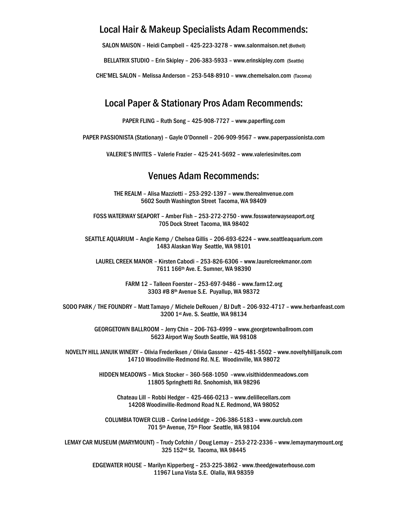## Local Hair & Makeup Specialists Adam Recommends:

SALON MAISON – Heidi Campbell – 425-223-3278 – [www.salonmaison.net](http://www.salonmaison.net/) (Bothell)

BELLATRIX STUDIO – Erin Skipley – 206-383-5933 – [www.erinskipley.com](http://www.erinskipley.com/) (Seattle)

CHE'MEL SALON – Melissa Anderson – 253-548-8910 – [www.chemelsalon.com](http://www.chemelsalon.com/) (Tacoma)

## Local Paper & Stationary Pros Adam Recommends:

PAPER FLING – Ruth Song – 425-908-7727 – www.paperfling.com

PAPER PASSIONISTA (Stationary) – Gayle O'Donnell – 206-909-9567 – [www.paperpassionista.com](http://www.paperpassionista.com/)

VALERIE'S INVITES – Valerie Frazier – 425-241-5692 – [www.valeriesinvites.com](http://www.valeriesinvites.com/)

#### Venues Adam Recommends:

THE REALM – Alisa Mazziotti – 253-292-1397 – [www.therealmvenue.com](http://www.therealmvenue.com/) 5602 South Washington Street Tacoma, WA 98409

FOSS WATERWAY SEAPORT – Amber Fish – 253-272-2750 - [www.fosswaterwayseaport.org](http://www.fosswaterwayseaport.org/) 705 Dock Street Tacoma, WA 98402

SEATTLE AQUARIUM – Angie Kemp / Chelsea Gillis – 206-693-6224 – [www.seattleaquarium.com](http://www.seattleaquarium.com/) 1483 Alaskan Way Seattle, WA 98101

LAUREL CREEK MANOR – Kirsten Cabodi – 253-826-6306 – [www.laurelcreekmanor.com](http://www.laurelcreekmanor.com/) 7611 166th Ave. E. Sumner, WA 98390

> FARM 12 – Talleen Foerster – 253-697-9486 – [www.farm12.org](http://www.farm12.org/) 3303 #B 8th Avenue S.E. Puyallup, WA 98372

SODO PARK / THE FOUNDRY – Matt Tamayo / Michele DeRouen / BJ Duft – 206-932-4717 – [www.herbanfeast.com](http://www.herbanfeast.com/) 3200 1st Ave. S. Seattle, WA 98134

> GEORGETOWN BALLROOM – Jerry Chin – 206-763-4999 – [www.georgetownballroom.com](http://www.georgetownballroom.com/) 5623 Airport Way South Seattle, WA 98108

NOVELTY HILL JANUIK WINERY – Olivia Frederiksen / Olivia Gassner – 425-481-5502 – [www.noveltyhilljanuik.com](http://www.noveltyhilljanuik.com/) 14710 Woodinville-Redmond Rd. N.E. Woodinville, WA 98072

> HIDDEN MEADOWS – Mick Stocker – 360-568-1050 –www.visithiddenmeadows.com 11805 Springhetti Rd. Snohomish, WA 98296

Chateau Lill – Robbi Hedger – 425-466-0213 – [www.delillecellars.com](http://www.delillecellars.com/) 14208 Woodinville-Redmond Road N.E. Redmond, WA 98052

COLUMBIA TOWER CLUB – Corine Ledridge – 206-386-5183 – [www.ourclub.com](http://www.ourclub.com/) 701 5th Avenue, 75th Floor Seattle, WA 98104

LEMAY CAR MUSEUM (MARYMOUNT) – Trudy Cofchin / Doug Lemay – 253-272-2336 – [www.lemaymarymount.org](http://www.lemaymarymount.org/) 325 152nd St. Tacoma, WA 98445

> EDGEWATER HOUSE – Marilyn Kipperberg – 253-225-3862 - [www.theedgewaterhouse.com](http://www.theedgewaterhouse.com/) 11967 Luna Vista S.E. Olalla, WA 98359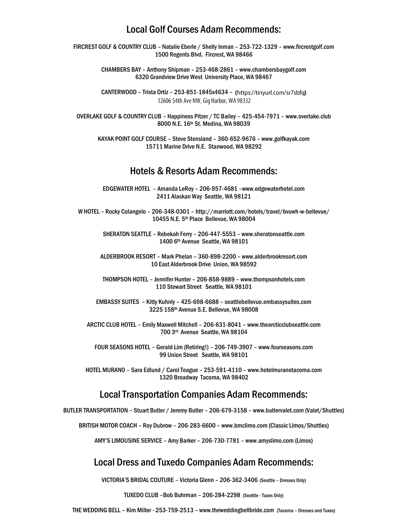## Local Golf Courses Adam Recommends:

FIRCREST GOLF & COUNTRY CLUB – Natalie Eberle / Shelly Inman – 253-722-1329 – [www.fircrestgolf.com](http://www.fircrestgolf.com/) 1500 Regents Blvd. Fircrest, WA 98466

> CHAMBERS BAY – Anthony Shipman – 253-468-2861 – [www.chambersbaygolf.com](http://www.chambersbaygolf.com/) 6320 Grandview Drive West University Place, WA 98467

> CANTERWOOD - Trista Ortiz - 253-851-1845x4634 - (https://tinyurl.com/sr7sbfq) 12606 54th Ave NW, Gig Harbor, WA 98332

OVERLAKE GOLF & COUNTRY CLUB – Happiness Pitzer / TC Bailey – 425-454-7971 – [www.overlake.club](http://www.overlake.club/) 8000 N.E. 16th St. Medina, WA 98039

KAYAK POINT GOLF COURSE – Steve Stensland – 360-652-9676 – www.golfkayak.com 15711 Marine Drive N.E. Stanwood, WA 98292

#### Hotels & Resorts Adam Recommends:

EDGEWATER HOTEL – Amanda LeRoy – 206-957-4681 –<www.edgewaterhotel.com> 2411 Alaskan Way Seattle, WA 98121

W HOTEL – Rocky Colangelo – 206-348-0301 – <http://marriott.com/hotels/travel/bvuwh-w-bellevue/> 10455 N.E. 5th Place Bellevue, WA 98004

SHERATON SEATTLE – Rebekah Ferry – 206-447-5553 – [www.sheratonseattle.com](http://www.sheratonseattle.com/) 1400 6th Avenue Seattle, WA 98101

ALDERBROOK RESORT – Mark Phelan – 360-898-2200 – [www.alderbrookresort.com](http://www.alderbrookresort.com/)  10 East Alderbrook Drive Union, WA 98592

THOMPSON HOTEL – Jennifer Hunter – 206-858-9889 – [www.thompsonhotels.com](http://www.thompsonhotels.com/) 110 Stewart Street Seattle, WA 98101

EMBASSY SUITES – Kitty Kuhnly – 425-698-6688 – seattlebellevue.embassysuites.com 3225 158th Avenue S.E. Bellevue, WA 98008

ARCTIC CLUB HOTEL – Emily Maxwell Mitchell – 206-631-8041 – [www.thearcticclubseattle.com](http://www.thearcticclubseattle.com/) 700 3rd Avenue Seattle, WA 98104

FOUR SEASONS HOTEL – Gerald Lim (Retiring!) – 206-749-3907 – [www.fourseasons.com](http://www.fourseasons.com/) 99 Union Street Seattle, WA 98101

HOTEL MURANO – Sara Edlund / Carol Teague – 253-591-4110 – [www.hotelmuranotacoma.com](http://www.hotelmuranotacoma.com/) 1320 Broadway Tacoma, WA 98402

#### Local Transportation Companies Adam Recommends:

BUTLER TRANSPORTATION – Stuart Butler / Jeremy Butler – 206-679-3158 – [www.butlervalet.com](http://www.butlervalet.com/) (Valet/Shuttles)

BRITISH MOTOR COACH – Roy Dubrow – 206-283-6600 – [www.bmclimo.com](http://www.bmclimo.com/) (Classic Limos/Shuttles)

AMY'S LIMOUSINE SERVICE – Amy Barker – 206-730-7781 – [www.amyslimo.com](http://www.amyslimo.com/) (Limos)

# Local Dress and Tuxedo Companies Adam Recommends:

VICTORIA'S BRIDAL COUTURE – Victoria Glenn – 206-362-3406 (Seattle – Dresses Only)

TUXEDO CLUB –Bob Buhrman – 206-284-2298 (Seattle - Tuxes Only)

THE WEDDING BELL – Kim Miller - 253-759-2513 – [www.theweddingbellbride.com](http://www.theweddingbellbride.com/) (Tacoma – Dresses and Tuxes)